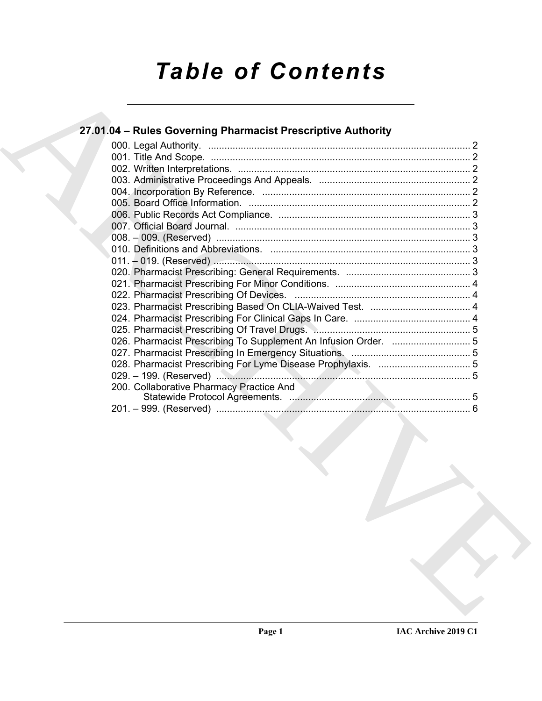# *Table of Contents*

| 200. Collaborative Pharmacy Practice And |  |
|------------------------------------------|--|
|                                          |  |
|                                          |  |
|                                          |  |
|                                          |  |
|                                          |  |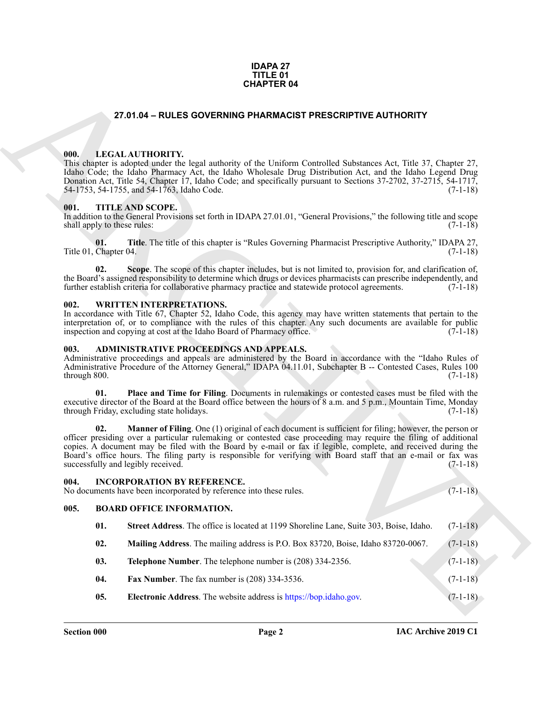#### **IDAPA 27 TITLE 01 CHAPTER 04**

#### **27.01.04 – RULES GOVERNING PHARMACIST PRESCRIPTIVE AUTHORITY**

#### <span id="page-1-10"></span><span id="page-1-1"></span><span id="page-1-0"></span>**000. LEGAL AUTHORITY.**

This chapter is adopted under the legal authority of the Uniform Controlled Substances Act, Title 37, Chapter 27, Idaho Code; the Idaho Pharmacy Act, the Idaho Wholesale Drug Distribution Act, and the Idaho Legend Drug Donation Act, Title 54, Chapter 17, Idaho Code; and specifically pursuant to Sections 37-2702, 37-2715, 54-1717, 54-1755, and 54-1763, Idaho Code. 54-1753, 54-1755, and 54-1763, Idaho Code.

#### <span id="page-1-11"></span><span id="page-1-2"></span>**001. TITLE AND SCOPE.**

In addition to the General Provisions set forth in IDAPA 27.01.01, "General Provisions," the following title and scope shall apply to these rules: (7-1-18) (3-1-18)

**01. Title**. The title of this chapter is "Rules Governing Pharmacist Prescriptive Authority," IDAPA 27, Title 01, Chapter 04. (7-1-18)

**02. Scope**. The scope of this chapter includes, but is not limited to, provision for, and clarification of, the Board's assigned responsibility to determine which drugs or devices pharmacists can prescribe independently, and further establish criteria for collaborative pharmacy practice and statewide protocol agreements. (7-1-18)

#### <span id="page-1-12"></span><span id="page-1-3"></span>**002. WRITTEN INTERPRETATIONS.**

In accordance with Title 67, Chapter 52, Idaho Code, this agency may have written statements that pertain to the interpretation of, or to compliance with the rules of this chapter. Any such documents are available for public inspection and copying at cost at the Idaho Board of Pharmacy office. (7-1-18)

#### <span id="page-1-7"></span><span id="page-1-4"></span>**003. ADMINISTRATIVE PROCEEDINGS AND APPEALS.**

Administrative proceedings and appeals are administered by the Board in accordance with the "Idaho Rules of Administrative Procedure of the Attorney General," IDAPA 04.11.01, Subchapter B -- Contested Cases, Rules 100 through 800. (7-1-18)

**01. Place and Time for Filing**. Documents in rulemakings or contested cases must be filed with the executive director of the Board at the Board office between the hours of 8 a.m. and 5 p.m., Mountain Time, Monday through Friday, excluding state holidays. (7-1-18)

**CHAPTER 64**<br> **CHAPTER 64**<br> **CHAPTER CHAPTER CHAPTER CHAPTER CHAPTER CHAPTER CHAPTER (ATTICLE) 1. The CHAPTER CHAPTER CHAPTER CHAPTER CHAPTER (ATTICLE) 1.13<br>
<b>CHAPTER CHAPTER CHAPTER CHAPTER CHAPTER CHAPTER CHAPTER CHAPTE Manner of Filing**. One (1) original of each document is sufficient for filing; however, the person or officer presiding over a particular rulemaking or contested case proceeding may require the filing of additional copies. A document may be filed with the Board by e-mail or fax if legible, complete, and received during the Board's office hours. The filing party is responsible for verifying with Board staff that an e-mail or fax was successfully and legibly received. (7-1-18)

# <span id="page-1-9"></span><span id="page-1-6"></span><span id="page-1-5"></span>**004. INCORPORATION BY REFERENCE.** No documents have been incorporated by reference into these rules. (7-1-18) **005. BOARD OFFICE INFORMATION.**

- <span id="page-1-8"></span>**01. Street Address**. The office is located at 1199 Shoreline Lane, Suite 303, Boise, Idaho. (7-1-18)
- **02. Mailing Address**. The mailing address is P.O. Box 83720, Boise, Idaho 83720-0067. (7-1-18)
- **03. Telephone Number**. The telephone number is (208) 334-2356. (7-1-18)
- **04.** Fax Number. The fax number is (208) 334-3536. (7-1-18)
- **05. Electronic Address**. The website address is https://bop.idaho.gov. (7-1-18)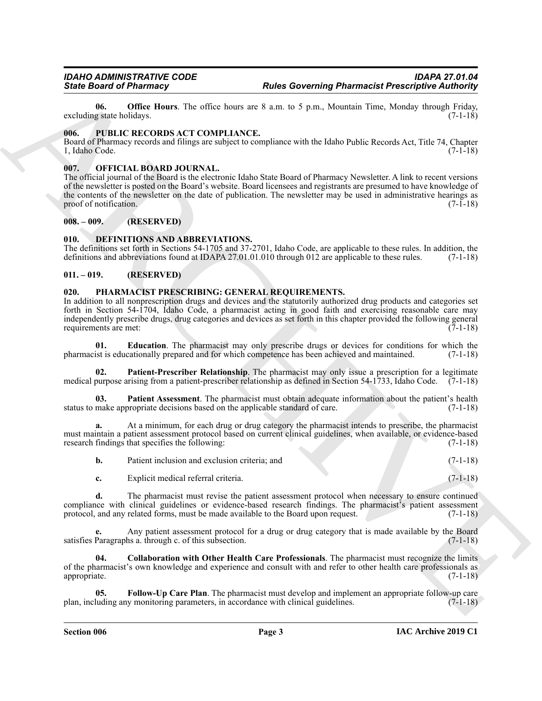**06. Office Hours**. The office hours are 8 a.m. to 5 p.m., Mountain Time, Monday through Friday, g state holidays. (7-1-18) excluding state holidays.

#### <span id="page-2-14"></span><span id="page-2-0"></span>**006. PUBLIC RECORDS ACT COMPLIANCE.**

Board of Pharmacy records and filings are subject to compliance with the Idaho Public Records Act, Title 74, Chapter 1, Idaho Code. (7-1-18)

#### <span id="page-2-7"></span><span id="page-2-1"></span>**007. OFFICIAL BOARD JOURNAL.**

**Since Order Philosophers**<br> **Butter Development Control Control Control Control Control Control Control Control Control Control Control Control Control Control Control Control Control Control Control Control Control Contr** The official journal of the Board is the electronic Idaho State Board of Pharmacy Newsletter. A link to recent versions of the newsletter is posted on the Board's website. Board licensees and registrants are presumed to have knowledge of the contents of the newsletter on the date of publication. The newsletter may be used in administrative hearings as proof of notification. (7-1-18)

#### <span id="page-2-2"></span>**008. – 009. (RESERVED)**

#### <span id="page-2-6"></span><span id="page-2-3"></span>**010. DEFINITIONS AND ABBREVIATIONS.**

The definitions set forth in Sections 54-1705 and 37-2701, Idaho Code, are applicable to these rules. In addition, the definitions and abbreviations found at IDAPA 27.01.01.010 through 012 are applicable to these rules. (7-1-18)

#### <span id="page-2-4"></span>**011. – 019. (RESERVED)**

#### <span id="page-2-8"></span><span id="page-2-5"></span>**020. PHARMACIST PRESCRIBING: GENERAL REQUIREMENTS.**

In addition to all nonprescription drugs and devices and the statutorily authorized drug products and categories set forth in Section 54-1704, Idaho Code, a pharmacist acting in good faith and exercising reasonable care may independently prescribe drugs, drug categories and devices as set forth in this chapter provided the following general requirements are met:

<span id="page-2-10"></span>**01. Education**. The pharmacist may only prescribe drugs or devices for conditions for which the pharmacist is educationally prepared and for which competence has been achieved and maintained. (7-1-18)

<span id="page-2-13"></span>**02. Patient-Prescriber Relationship**. The pharmacist may only issue a prescription for a legitimate medical purpose arising from a patient-prescriber relationship as defined in Section 54-1733, Idaho Code.  $(7-1-18)$ 

<span id="page-2-12"></span>**03.** Patient Assessment. The pharmacist must obtain adequate information about the patient's health make appropriate decisions based on the applicable standard of care. (7-1-18) status to make appropriate decisions based on the applicable standard of care.

**a.** At a minimum, for each drug or drug category the pharmacist intends to prescribe, the pharmacist must maintain a patient assessment protocol based on current clinical guidelines, when available, or evidence-based research findings that specifies the following: (7-1-18)

| b. | Patient inclusion and exclusion criteria: and |  | $(7-1-18)$ |
|----|-----------------------------------------------|--|------------|
|    |                                               |  |            |

**c.** Explicit medical referral criteria. (7-1-18)

**d.** The pharmacist must revise the patient assessment protocol when necessary to ensure continued compliance with clinical guidelines or evidence-based research findings. The pharmacist's patient assessment protocol, and any related forms, must be made available to the Board upon request. (7-1-18)

Any patient assessment protocol for a drug or drug category that is made available by the Board hs a. through c. of this subsection. (7-1-18) satisfies Paragraphs a. through c. of this subsection.

<span id="page-2-9"></span>**04. Collaboration with Other Health Care Professionals**. The pharmacist must recognize the limits of the pharmacist's own knowledge and experience and consult with and refer to other health care professionals as appropriate. (7-1-18)

<span id="page-2-11"></span>**05. Follow-Up Care Plan**. The pharmacist must develop and implement an appropriate follow-up care plan, including any monitoring parameters, in accordance with clinical guidelines. (7-1-18)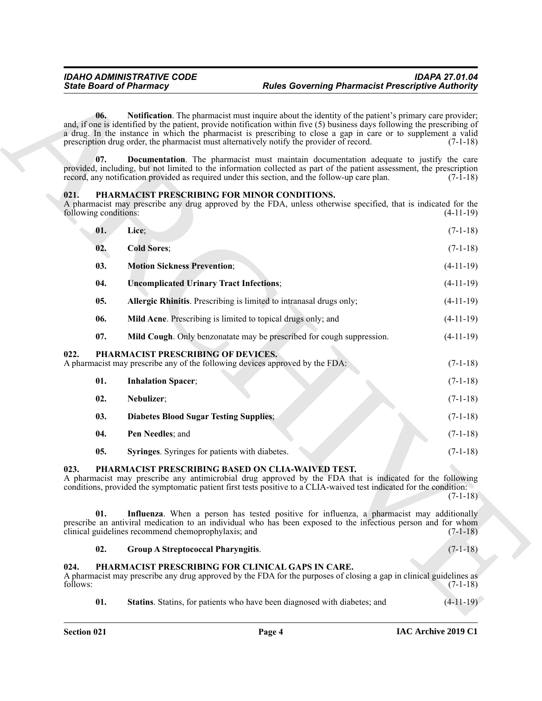#### <span id="page-3-21"></span><span id="page-3-19"></span><span id="page-3-18"></span><span id="page-3-17"></span><span id="page-3-16"></span><span id="page-3-15"></span><span id="page-3-14"></span><span id="page-3-13"></span><span id="page-3-12"></span><span id="page-3-11"></span><span id="page-3-5"></span><span id="page-3-4"></span><span id="page-3-1"></span><span id="page-3-0"></span>**021. PHARMACIST PRESCRIBING FOR MINOR CONDITIONS.**

| <b>State Board of Pharmacy</b><br>06.<br>prescription drug order, the pharmacist must alternatively notify the provider of record. |                                                     | <b>Rules Governing Pharmacist Prescriptive Authority</b><br>Notification. The pharmacist must inquire about the identity of the patient's primary care provider;<br>and, if one is identified by the patient, provide notification within five (5) business days following the prescribing of<br>a drug. In the instance in which the pharmacist is prescribing to close a gap in care or to supplement a valid<br>$(7-1-18)$ |             |  |
|------------------------------------------------------------------------------------------------------------------------------------|-----------------------------------------------------|-------------------------------------------------------------------------------------------------------------------------------------------------------------------------------------------------------------------------------------------------------------------------------------------------------------------------------------------------------------------------------------------------------------------------------|-------------|--|
|                                                                                                                                    |                                                     |                                                                                                                                                                                                                                                                                                                                                                                                                               |             |  |
| PHARMACIST PRESCRIBING FOR MINOR CONDITIONS.<br>021.<br>following conditions:                                                      |                                                     | A pharmacist may prescribe any drug approved by the FDA, unless otherwise specified, that is indicated for the<br>$(4-11-19)$                                                                                                                                                                                                                                                                                                 |             |  |
| 01.                                                                                                                                | Lice;                                               |                                                                                                                                                                                                                                                                                                                                                                                                                               | $(7-1-18)$  |  |
| 02.                                                                                                                                | <b>Cold Sores;</b>                                  |                                                                                                                                                                                                                                                                                                                                                                                                                               | $(7-1-18)$  |  |
| 03.                                                                                                                                | <b>Motion Sickness Prevention;</b>                  |                                                                                                                                                                                                                                                                                                                                                                                                                               | $(4-11-19)$ |  |
| 04.                                                                                                                                | <b>Uncomplicated Urinary Tract Infections;</b>      |                                                                                                                                                                                                                                                                                                                                                                                                                               | $(4-11-19)$ |  |
| 05.                                                                                                                                |                                                     | Allergic Rhinitis. Prescribing is limited to intranasal drugs only;                                                                                                                                                                                                                                                                                                                                                           | $(4-11-19)$ |  |
| 06.                                                                                                                                |                                                     | Mild Acne. Prescribing is limited to topical drugs only; and                                                                                                                                                                                                                                                                                                                                                                  | $(4-11-19)$ |  |
| 07.                                                                                                                                |                                                     | Mild Cough. Only benzonatate may be prescribed for cough suppression.                                                                                                                                                                                                                                                                                                                                                         | $(4-11-19)$ |  |
| 022.                                                                                                                               | PHARMACIST PRESCRIBING OF DEVICES.                  | A pharmacist may prescribe any of the following devices approved by the FDA:                                                                                                                                                                                                                                                                                                                                                  | $(7-1-18)$  |  |
| 01.                                                                                                                                | <b>Inhalation Spacer;</b>                           |                                                                                                                                                                                                                                                                                                                                                                                                                               | $(7-1-18)$  |  |
| 02.                                                                                                                                | Nebulizer;                                          |                                                                                                                                                                                                                                                                                                                                                                                                                               | $(7-1-18)$  |  |
| 03.                                                                                                                                | <b>Diabetes Blood Sugar Testing Supplies;</b>       |                                                                                                                                                                                                                                                                                                                                                                                                                               | $(7-1-18)$  |  |
| 04.                                                                                                                                | Pen Needles; and                                    |                                                                                                                                                                                                                                                                                                                                                                                                                               | $(7-1-18)$  |  |
| 05.                                                                                                                                | Syringes. Syringes for patients with diabetes.      |                                                                                                                                                                                                                                                                                                                                                                                                                               | $(7-1-18)$  |  |
| 023.                                                                                                                               |                                                     | PHARMACIST PRESCRIBING BASED ON CLIA-WAIVED TEST.<br>A pharmacist may prescribe any antimicrobial drug approved by the FDA that is indicated for the following<br>conditions, provided the symptomatic patient first tests positive to a CLIA-waived test indicated for the condition:                                                                                                                                        | $(7-1-18)$  |  |
| 01.                                                                                                                                | clinical guidelines recommend chemoprophylaxis; and | Influenza. When a person has tested positive for influenza, a pharmacist may additionally<br>prescribe an antiviral medication to an individual who has been exposed to the infectious person and for whom                                                                                                                                                                                                                    | $(7-1-18)$  |  |
| 02.                                                                                                                                | <b>Group A Streptococcal Pharyngitis.</b>           |                                                                                                                                                                                                                                                                                                                                                                                                                               | $(7-1-18)$  |  |
| 024.<br>follows:                                                                                                                   |                                                     | PHARMACIST PRESCRIBING FOR CLINICAL GAPS IN CARE.<br>A pharmacist may prescribe any drug approved by the FDA for the purposes of closing a gap in clinical guidelines as                                                                                                                                                                                                                                                      | $(7-1-18)$  |  |
| 01.                                                                                                                                |                                                     | Statins. Statins, for patients who have been diagnosed with diabetes; and                                                                                                                                                                                                                                                                                                                                                     | $(4-11-19)$ |  |

#### <span id="page-3-24"></span><span id="page-3-23"></span><span id="page-3-22"></span><span id="page-3-20"></span><span id="page-3-10"></span><span id="page-3-9"></span><span id="page-3-8"></span><span id="page-3-7"></span><span id="page-3-6"></span><span id="page-3-3"></span><span id="page-3-2"></span>**024. PHARMACIST PRESCRIBING FOR CLINICAL GAPS IN CARE.**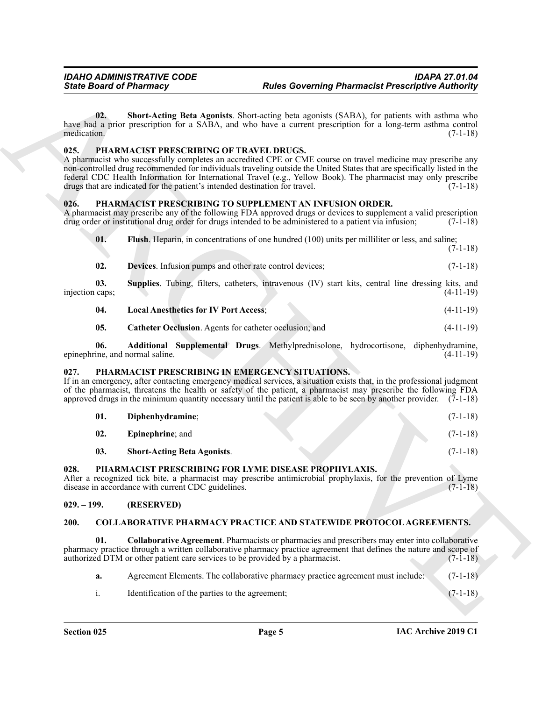#### <span id="page-4-14"></span><span id="page-4-8"></span><span id="page-4-0"></span>**025. PHARMACIST PRESCRIBING OF TRAVEL DRUGS.**

#### <span id="page-4-21"></span><span id="page-4-20"></span><span id="page-4-19"></span><span id="page-4-18"></span><span id="page-4-15"></span><span id="page-4-1"></span>**026. PHARMACIST PRESCRIBING TO SUPPLEMENT AN INFUSION ORDER.**

| 02.<br>Short-Acting Beta Agonists. Short-acting beta agonists (SABA), for patients with asthma who<br>have had a prior prescription for a SABA, and who have a current prescription for a long-term asthma control<br>medication.<br>PHARMACIST PRESCRIBING OF TRAVEL DRUGS.<br>025.<br>A pharmacist who successfully completes an accredited CPE or CME course on travel medicine may prescribe any<br>non-controlled drug recommended for individuals traveling outside the United States that are specifically listed in the<br>federal CDC Health Information for International Travel (e.g., Yellow Book). The pharmacist may only prescribe<br>drugs that are indicated for the patient's intended destination for travel.<br>026.<br>PHARMACIST PRESCRIBING TO SUPPLEMENT AN INFUSION ORDER.<br>A pharmacist may prescribe any of the following FDA approved drugs or devices to supplement a valid prescription<br>drug order or institutional drug order for drugs intended to be administered to a patient via infusion;<br>Flush. Heparin, in concentrations of one hundred (100) units per milliliter or less, and saline;<br>01.<br>02.<br>Devices. Infusion pumps and other rate control devices;<br>03.<br><b>Supplies</b> . Tubing, filters, catheters, intravenous (IV) start kits, central line dressing kits, and<br>injection caps;<br>04.<br><b>Local Anesthetics for IV Port Access;</b><br>05.<br>Catheter Occlusion. Agents for catheter occlusion; and<br>Additional Supplemental Drugs. Methylprednisolone, hydrocortisone, diphenhydramine,<br>06.<br>epinephrine, and normal saline.<br>PHARMACIST PRESCRIBING IN EMERGENCY SITUATIONS.<br>027.<br>If in an emergency, after contacting emergency medical services, a situation exists that, in the professional judgment<br>of the pharmacist, threatens the health or safety of the patient, a pharmacist may prescribe the following FDA<br>approved drugs in the minimum quantity necessary until the patient is able to be seen by another provider. $(7-1-18)$<br>01.<br>Diphenhydramine;<br>02.<br><b>Epinephrine</b> ; and<br>03.<br><b>Short-Acting Beta Agonists.</b><br>PHARMACIST PRESCRIBING FOR LYME DISEASE PROPHYLAXIS.<br>028.<br>After a recognized tick bite, a pharmacist may prescribe antimicrobial prophylaxis, for the prevention of Lyme<br>disease in accordance with current CDC guidelines.<br>(RESERVED)<br>$029. - 199.$<br><b>COLLABORATIVE PHARMACY PRACTICE AND STATEWIDE PROTOCOL AGREEMENTS.</b><br>200.<br>Collaborative Agreement. Pharmacists or pharmacies and prescribers may enter into collaborative<br>01.<br>pharmacy practice through a written collaborative pharmacy practice agreement that defines the nature and scope of<br>authorized DTM or other patient care services to be provided by a pharmacist.<br>Agreement Elements. The collaborative pharmacy practice agreement must include:<br>a.<br>i.<br>Identification of the parties to the agreement; | <b>State Board of Pharmacy</b> |  | <b>Rules Governing Pharmacist Prescriptive Authority</b> |             |  |
|--------------------------------------------------------------------------------------------------------------------------------------------------------------------------------------------------------------------------------------------------------------------------------------------------------------------------------------------------------------------------------------------------------------------------------------------------------------------------------------------------------------------------------------------------------------------------------------------------------------------------------------------------------------------------------------------------------------------------------------------------------------------------------------------------------------------------------------------------------------------------------------------------------------------------------------------------------------------------------------------------------------------------------------------------------------------------------------------------------------------------------------------------------------------------------------------------------------------------------------------------------------------------------------------------------------------------------------------------------------------------------------------------------------------------------------------------------------------------------------------------------------------------------------------------------------------------------------------------------------------------------------------------------------------------------------------------------------------------------------------------------------------------------------------------------------------------------------------------------------------------------------------------------------------------------------------------------------------------------------------------------------------------------------------------------------------------------------------------------------------------------------------------------------------------------------------------------------------------------------------------------------------------------------------------------------------------------------------------------------------------------------------------------------------------------------------------------------------------------------------------------------------------------------------------------------------------------------------------------------------------------------------------------------------------------------------------------------------------------------------------------------------------------------------------------------------------------------------------------------------------------------------------------------------------------------------------------------------------------------------|--------------------------------|--|----------------------------------------------------------|-------------|--|
|                                                                                                                                                                                                                                                                                                                                                                                                                                                                                                                                                                                                                                                                                                                                                                                                                                                                                                                                                                                                                                                                                                                                                                                                                                                                                                                                                                                                                                                                                                                                                                                                                                                                                                                                                                                                                                                                                                                                                                                                                                                                                                                                                                                                                                                                                                                                                                                                                                                                                                                                                                                                                                                                                                                                                                                                                                                                                                                                                                                            |                                |  |                                                          | $(7-1-18)$  |  |
|                                                                                                                                                                                                                                                                                                                                                                                                                                                                                                                                                                                                                                                                                                                                                                                                                                                                                                                                                                                                                                                                                                                                                                                                                                                                                                                                                                                                                                                                                                                                                                                                                                                                                                                                                                                                                                                                                                                                                                                                                                                                                                                                                                                                                                                                                                                                                                                                                                                                                                                                                                                                                                                                                                                                                                                                                                                                                                                                                                                            |                                |  |                                                          | $(7-1-18)$  |  |
|                                                                                                                                                                                                                                                                                                                                                                                                                                                                                                                                                                                                                                                                                                                                                                                                                                                                                                                                                                                                                                                                                                                                                                                                                                                                                                                                                                                                                                                                                                                                                                                                                                                                                                                                                                                                                                                                                                                                                                                                                                                                                                                                                                                                                                                                                                                                                                                                                                                                                                                                                                                                                                                                                                                                                                                                                                                                                                                                                                                            |                                |  |                                                          | $(7-1-18)$  |  |
|                                                                                                                                                                                                                                                                                                                                                                                                                                                                                                                                                                                                                                                                                                                                                                                                                                                                                                                                                                                                                                                                                                                                                                                                                                                                                                                                                                                                                                                                                                                                                                                                                                                                                                                                                                                                                                                                                                                                                                                                                                                                                                                                                                                                                                                                                                                                                                                                                                                                                                                                                                                                                                                                                                                                                                                                                                                                                                                                                                                            |                                |  |                                                          | $(7-1-18)$  |  |
|                                                                                                                                                                                                                                                                                                                                                                                                                                                                                                                                                                                                                                                                                                                                                                                                                                                                                                                                                                                                                                                                                                                                                                                                                                                                                                                                                                                                                                                                                                                                                                                                                                                                                                                                                                                                                                                                                                                                                                                                                                                                                                                                                                                                                                                                                                                                                                                                                                                                                                                                                                                                                                                                                                                                                                                                                                                                                                                                                                                            |                                |  |                                                          | $(7-1-18)$  |  |
|                                                                                                                                                                                                                                                                                                                                                                                                                                                                                                                                                                                                                                                                                                                                                                                                                                                                                                                                                                                                                                                                                                                                                                                                                                                                                                                                                                                                                                                                                                                                                                                                                                                                                                                                                                                                                                                                                                                                                                                                                                                                                                                                                                                                                                                                                                                                                                                                                                                                                                                                                                                                                                                                                                                                                                                                                                                                                                                                                                                            |                                |  |                                                          | $(4-11-19)$ |  |
|                                                                                                                                                                                                                                                                                                                                                                                                                                                                                                                                                                                                                                                                                                                                                                                                                                                                                                                                                                                                                                                                                                                                                                                                                                                                                                                                                                                                                                                                                                                                                                                                                                                                                                                                                                                                                                                                                                                                                                                                                                                                                                                                                                                                                                                                                                                                                                                                                                                                                                                                                                                                                                                                                                                                                                                                                                                                                                                                                                                            |                                |  |                                                          | $(4-11-19)$ |  |
|                                                                                                                                                                                                                                                                                                                                                                                                                                                                                                                                                                                                                                                                                                                                                                                                                                                                                                                                                                                                                                                                                                                                                                                                                                                                                                                                                                                                                                                                                                                                                                                                                                                                                                                                                                                                                                                                                                                                                                                                                                                                                                                                                                                                                                                                                                                                                                                                                                                                                                                                                                                                                                                                                                                                                                                                                                                                                                                                                                                            |                                |  |                                                          | $(4-11-19)$ |  |
|                                                                                                                                                                                                                                                                                                                                                                                                                                                                                                                                                                                                                                                                                                                                                                                                                                                                                                                                                                                                                                                                                                                                                                                                                                                                                                                                                                                                                                                                                                                                                                                                                                                                                                                                                                                                                                                                                                                                                                                                                                                                                                                                                                                                                                                                                                                                                                                                                                                                                                                                                                                                                                                                                                                                                                                                                                                                                                                                                                                            |                                |  |                                                          | $(4-11-19)$ |  |
|                                                                                                                                                                                                                                                                                                                                                                                                                                                                                                                                                                                                                                                                                                                                                                                                                                                                                                                                                                                                                                                                                                                                                                                                                                                                                                                                                                                                                                                                                                                                                                                                                                                                                                                                                                                                                                                                                                                                                                                                                                                                                                                                                                                                                                                                                                                                                                                                                                                                                                                                                                                                                                                                                                                                                                                                                                                                                                                                                                                            |                                |  |                                                          |             |  |
|                                                                                                                                                                                                                                                                                                                                                                                                                                                                                                                                                                                                                                                                                                                                                                                                                                                                                                                                                                                                                                                                                                                                                                                                                                                                                                                                                                                                                                                                                                                                                                                                                                                                                                                                                                                                                                                                                                                                                                                                                                                                                                                                                                                                                                                                                                                                                                                                                                                                                                                                                                                                                                                                                                                                                                                                                                                                                                                                                                                            |                                |  |                                                          | $(7-1-18)$  |  |
|                                                                                                                                                                                                                                                                                                                                                                                                                                                                                                                                                                                                                                                                                                                                                                                                                                                                                                                                                                                                                                                                                                                                                                                                                                                                                                                                                                                                                                                                                                                                                                                                                                                                                                                                                                                                                                                                                                                                                                                                                                                                                                                                                                                                                                                                                                                                                                                                                                                                                                                                                                                                                                                                                                                                                                                                                                                                                                                                                                                            |                                |  |                                                          | $(7-1-18)$  |  |
|                                                                                                                                                                                                                                                                                                                                                                                                                                                                                                                                                                                                                                                                                                                                                                                                                                                                                                                                                                                                                                                                                                                                                                                                                                                                                                                                                                                                                                                                                                                                                                                                                                                                                                                                                                                                                                                                                                                                                                                                                                                                                                                                                                                                                                                                                                                                                                                                                                                                                                                                                                                                                                                                                                                                                                                                                                                                                                                                                                                            |                                |  |                                                          | $(7-1-18)$  |  |
|                                                                                                                                                                                                                                                                                                                                                                                                                                                                                                                                                                                                                                                                                                                                                                                                                                                                                                                                                                                                                                                                                                                                                                                                                                                                                                                                                                                                                                                                                                                                                                                                                                                                                                                                                                                                                                                                                                                                                                                                                                                                                                                                                                                                                                                                                                                                                                                                                                                                                                                                                                                                                                                                                                                                                                                                                                                                                                                                                                                            |                                |  |                                                          | $(7-1-18)$  |  |
|                                                                                                                                                                                                                                                                                                                                                                                                                                                                                                                                                                                                                                                                                                                                                                                                                                                                                                                                                                                                                                                                                                                                                                                                                                                                                                                                                                                                                                                                                                                                                                                                                                                                                                                                                                                                                                                                                                                                                                                                                                                                                                                                                                                                                                                                                                                                                                                                                                                                                                                                                                                                                                                                                                                                                                                                                                                                                                                                                                                            |                                |  |                                                          |             |  |
|                                                                                                                                                                                                                                                                                                                                                                                                                                                                                                                                                                                                                                                                                                                                                                                                                                                                                                                                                                                                                                                                                                                                                                                                                                                                                                                                                                                                                                                                                                                                                                                                                                                                                                                                                                                                                                                                                                                                                                                                                                                                                                                                                                                                                                                                                                                                                                                                                                                                                                                                                                                                                                                                                                                                                                                                                                                                                                                                                                                            |                                |  |                                                          |             |  |
|                                                                                                                                                                                                                                                                                                                                                                                                                                                                                                                                                                                                                                                                                                                                                                                                                                                                                                                                                                                                                                                                                                                                                                                                                                                                                                                                                                                                                                                                                                                                                                                                                                                                                                                                                                                                                                                                                                                                                                                                                                                                                                                                                                                                                                                                                                                                                                                                                                                                                                                                                                                                                                                                                                                                                                                                                                                                                                                                                                                            |                                |  |                                                          | $(7-1-18)$  |  |
|                                                                                                                                                                                                                                                                                                                                                                                                                                                                                                                                                                                                                                                                                                                                                                                                                                                                                                                                                                                                                                                                                                                                                                                                                                                                                                                                                                                                                                                                                                                                                                                                                                                                                                                                                                                                                                                                                                                                                                                                                                                                                                                                                                                                                                                                                                                                                                                                                                                                                                                                                                                                                                                                                                                                                                                                                                                                                                                                                                                            |                                |  |                                                          | $(7-1-18)$  |  |
|                                                                                                                                                                                                                                                                                                                                                                                                                                                                                                                                                                                                                                                                                                                                                                                                                                                                                                                                                                                                                                                                                                                                                                                                                                                                                                                                                                                                                                                                                                                                                                                                                                                                                                                                                                                                                                                                                                                                                                                                                                                                                                                                                                                                                                                                                                                                                                                                                                                                                                                                                                                                                                                                                                                                                                                                                                                                                                                                                                                            |                                |  |                                                          | $(7-1-18)$  |  |
|                                                                                                                                                                                                                                                                                                                                                                                                                                                                                                                                                                                                                                                                                                                                                                                                                                                                                                                                                                                                                                                                                                                                                                                                                                                                                                                                                                                                                                                                                                                                                                                                                                                                                                                                                                                                                                                                                                                                                                                                                                                                                                                                                                                                                                                                                                                                                                                                                                                                                                                                                                                                                                                                                                                                                                                                                                                                                                                                                                                            |                                |  |                                                          |             |  |

<span id="page-4-17"></span><span id="page-4-16"></span><span id="page-4-13"></span><span id="page-4-12"></span><span id="page-4-11"></span><span id="page-4-10"></span><span id="page-4-2"></span>

| 01. | Diphenhydramine:                   |  | $(7-1-18)$ |
|-----|------------------------------------|--|------------|
| 02. | <b>Epinephrine</b> ; and           |  | $(7-1-18)$ |
| 03. | <b>Short-Acting Beta Agonists.</b> |  | $(7-1-18)$ |

#### <span id="page-4-9"></span><span id="page-4-3"></span>**028. PHARMACIST PRESCRIBING FOR LYME DISEASE PROPHYLAXIS.**

#### <span id="page-4-4"></span>**029. – 199. (RESERVED)**

#### <span id="page-4-7"></span><span id="page-4-6"></span><span id="page-4-5"></span>**200. COLLABORATIVE PHARMACY PRACTICE AND STATEWIDE PROTOCOL AGREEMENTS.**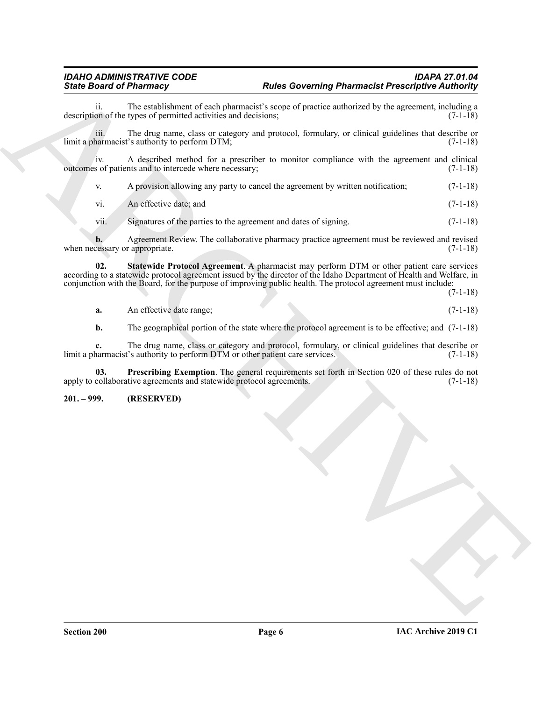#### *IDAHO ADMINISTRATIVE CODE IDAPA 27.01.04* **Rules Governing Pharmacist Prescriptive Authority**

ii. The establishment of each pharmacist's scope of practice authorized by the agreement, including a description of the types of permitted activities and decisions;

iii. The drug name, class or category and protocol, formulary, or clinical guidelines that describe or limit a pharmacist's authority to perform DTM; (7-1-18)

iv. A described method for a prescriber to monitor compliance with the agreement and clinical outcomes of patients and to intercede where necessary;

v. A provision allowing any party to cancel the agreement by written notification;  $(7-1-18)$ 

vi. An effective date; and  $(7-1-18)$ 

<span id="page-5-2"></span>vii. Signatures of the parties to the agreement and dates of signing.  $(7-1-18)$ 

**b.** Agreement Review. The collaborative pharmacy practice agreement must be reviewed and revised cessary or appropriate. (7-1-18) when necessary or appropriate.

Since Board of Phistomary Theoretical Presenction of the state of the state of the state of the state of the state of the state of the state of the state of the state of the state of the state of the state of the state of **02. Statewide Protocol Agreement**. A pharmacist may perform DTM or other patient care services according to a statewide protocol agreement issued by the director of the Idaho Department of Health and Welfare, in conjunction with the Board, for the purpose of improving public health. The protocol agreement must include:

(7-1-18)

**a.** An effective date range; (7-1-18)

<span id="page-5-1"></span>**b.** The geographical portion of the state where the protocol agreement is to be effective; and (7-1-18)

**c.** The drug name, class or category and protocol, formulary, or clinical guidelines that describe or limit a pharmacist's authority to perform DTM or other patient care services. (7-1-18)

**03. Prescribing Exemption**. The general requirements set forth in Section 020 of these rules do not apply to collaborative agreements and statewide protocol agreements. (7-1-18)

#### <span id="page-5-0"></span>**201. – 999. (RESERVED)**